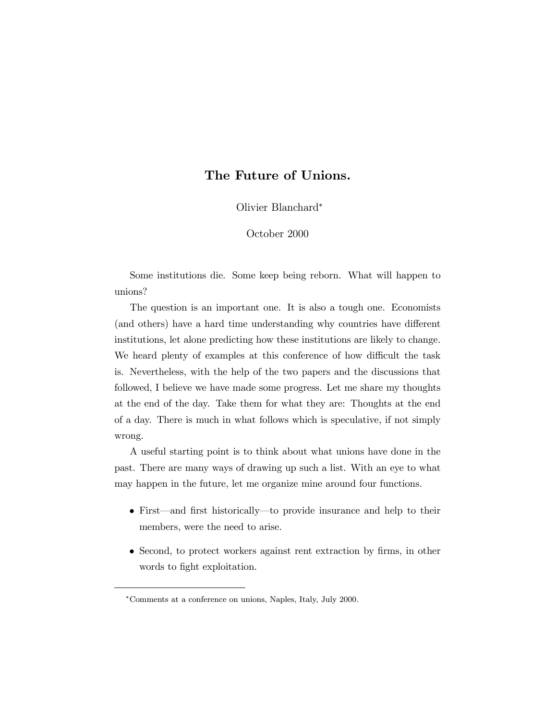# The Future of Unions.

Olivier Blanchard<sup>\*</sup>

October 2000

Some institutions die. Some keep being reborn. What will happen to unions?

The question is an important one. It is also a tough one. Economists (and others) have a hard time understanding why countries have different institutions, let alone predicting how these institutions are likely to change. We heard plenty of examples at this conference of how difficult the task is. Nevertheless, with the help of the two papers and the discussions that followed, I believe we have made some progress. Let me share my thoughts at the end of the day. Take them for what they are: Thoughts at the end of a day. There is much in what follows which is speculative, if not simply wrong.

A useful starting point is to think about what unions have done in the past. There are many ways of drawing up such a list. With an eye to what may happen in the future, let me organize mine around four functions.

- $\bullet$  First—and first historically—to provide insurance and help to their members, were the need to arise.
- $\bullet$  Second, to protect workers against rent extraction by firms, in other words to fight exploitation.

<sup>¤</sup>Comments at a conference on unions, Naples, Italy, July 2000.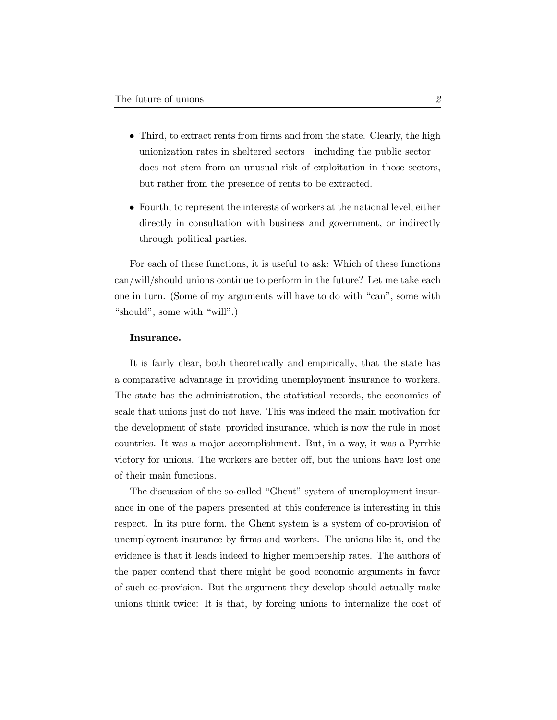- $\bullet$  Third, to extract rents from firms and from the state. Clearly, the high unionization rates in sheltered sectors—including the public sector does not stem from an unusual risk of exploitation in those sectors, but rather from the presence of rents to be extracted.
- Fourth, to represent the interests of workers at the national level, either directly in consultation with business and government, or indirectly through political parties.

For each of these functions, it is useful to ask: Which of these functions can/will/should unions continue to perform in the future? Let me take each one in turn. (Some of my arguments will have to do with \can", some with "should", some with "will".)

#### Insurance.

It is fairly clear, both theoretically and empirically, that the state has a comparative advantage in providing unemployment insurance to workers. The state has the administration, the statistical records, the economies of scale that unions just do not have. This was indeed the main motivation for the development of state-provided insurance, which is now the rule in most countries. It was a major accomplishment. But, in a way, it was a Pyrrhic victory for unions. The workers are better off, but the unions have lost one of their main functions.

The discussion of the so-called "Ghent" system of unemployment insurance in one of the papers presented at this conference is interesting in this respect. In its pure form, the Ghent system is a system of co-provision of unemployment insurance by firms and workers. The unions like it, and the evidence is that it leads indeed to higher membership rates. The authors of the paper contend that there might be good economic arguments in favor of such co-provision. But the argument they develop should actually make unions think twice: It is that, by forcing unions to internalize the cost of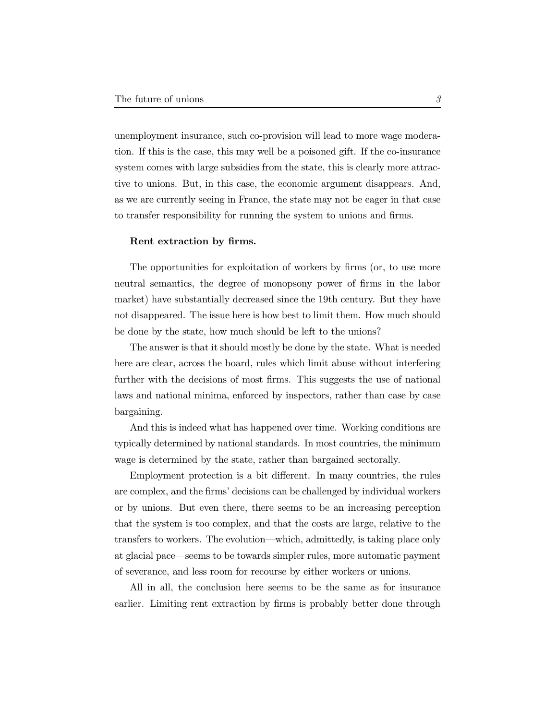unemployment insurance, such co-provision will lead to more wage moderation. If this is the case, this may well be a poisoned gift. If the co-insurance system comes with large subsidies from the state, this is clearly more attractive to unions. But, in this case, the economic argument disappears. And, as we are currently seeing in France, the state may not be eager in that case to transfer responsibility for running the system to unions and firms.

#### Rent extraction by firms.

The opportunities for exploitation of workers by firms (or, to use more neutral semantics, the degree of monopsony power of firms in the labor market) have substantially decreased since the 19th century. But they have not disappeared. The issue here is how best to limit them. How much should be done by the state, how much should be left to the unions?

The answer is that it should mostly be done by the state. What is needed here are clear, across the board, rules which limit abuse without interfering further with the decisions of most firms. This suggests the use of national laws and national minima, enforced by inspectors, rather than case by case bargaining.

And this is indeed what has happened over time. Working conditions are typically determined by national standards. In most countries, the minimum wage is determined by the state, rather than bargained sectorally.

Employment protection is a bit different. In many countries, the rules are complex, and the firms' decisions can be challenged by individual workers or by unions. But even there, there seems to be an increasing perception that the system is too complex, and that the costs are large, relative to the transfers to workers. The evolution—which, admittedly, is taking place only at glacial pace—seems to be towards simpler rules, more automatic payment of severance, and less room for recourse by either workers or unions.

All in all, the conclusion here seems to be the same as for insurance earlier. Limiting rent extraction by firms is probably better done through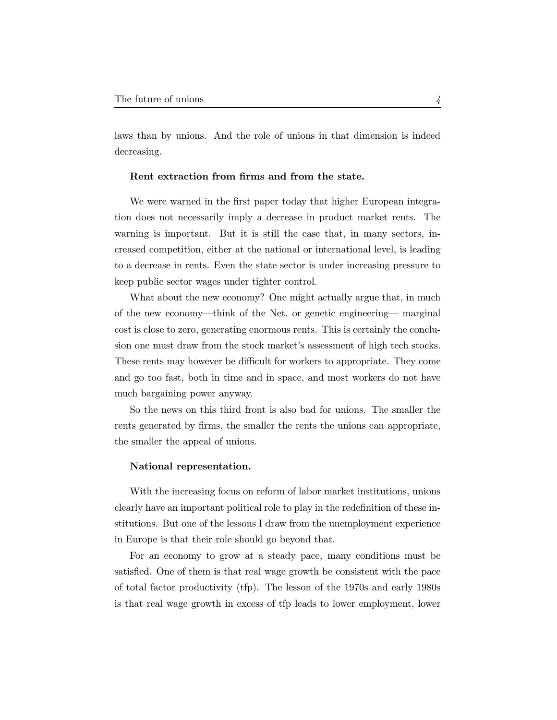laws than by unions. And the role of unions in that dimension is indeed decreasing.

#### Rent extraction from firms and from the state.

We were warned in the first paper today that higher European integration does not necessarily imply a decrease in product market rents. The warning is important. But it is still the case that, in many sectors, increased competition, either at the national or international level, is leading to a decrease in rents. Even the state sector is under increasing pressure to keep public sector wages under tighter control.

What about the new economy? One might actually argue that, in much of the new economy—think of the Net, or genetic engineering— marginal cost is close to zero, generating enormous rents. This is certainly the conclusion one must draw from the stock market's assessment of high tech stocks. These rents may however be difficult for workers to appropriate. They come and go too fast, both in time and in space, and most workers do not have much bargaining power anyway.

So the news on this third front is also bad for unions. The smaller the rents generated by firms, the smaller the rents the unions can appropriate, the smaller the appeal of unions.

### National representation.

With the increasing focus on reform of labor market institutions, unions clearly have an important political role to play in the redefinition of these institutions. But one of the lessons I draw from the unemployment experience in Europe is that their role should go beyond that.

For an economy to grow at a steady pace, many conditions must be satisfied. One of them is that real wage growth be consistent with the pace of total factor productivity (tfp). The lesson of the 1970s and early 1980s is that real wage growth in excess of tfp leads to lower employment, lower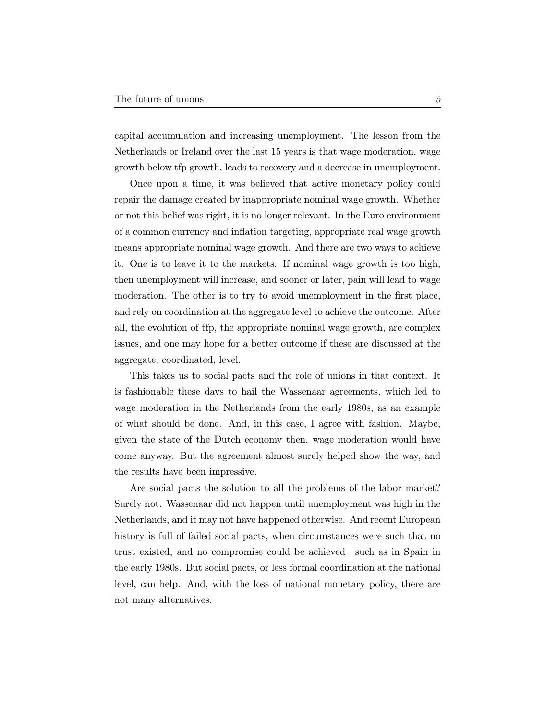capital accumulation and increasing unemployment. The lesson from the Netherlands or Ireland over the last 15 years is that wage moderation, wage growth below tfp growth, leads to recovery and a decrease in unemployment.

Once upon a time, it was believed that active monetary policy could repair the damage created by inappropriate nominal wage growth. Whether or not this belief was right, it is no longer relevant. In the Euro environment of a common currency and in°ation targeting, appropriate real wage growth means appropriate nominal wage growth. And there are two ways to achieve it. One is to leave it to the markets. If nominal wage growth is too high, then unemployment will increase, and sooner or later, pain will lead to wage moderation. The other is to try to avoid unemployment in the first place, and rely on coordination at the aggregate level to achieve the outcome. After all, the evolution of tfp, the appropriate nominal wage growth, are complex issues, and one may hope for a better outcome if these are discussed at the aggregate, coordinated, level.

This takes us to social pacts and the role of unions in that context. It is fashionable these days to hail the Wassenaar agreements, which led to wage moderation in the Netherlands from the early 1980s, as an example of what should be done. And, in this case, I agree with fashion. Maybe, given the state of the Dutch economy then, wage moderation would have come anyway. But the agreement almost surely helped show the way, and the results have been impressive.

Are social pacts the solution to all the problems of the labor market? Surely not. Wassenaar did not happen until unemployment was high in the Netherlands, and it may not have happened otherwise. And recent European history is full of failed social pacts, when circumstances were such that no trust existed, and no compromise could be achieved—such as in Spain in the early 1980s. But social pacts, or less formal coordination at the national level, can help. And, with the loss of national monetary policy, there are not many alternatives.